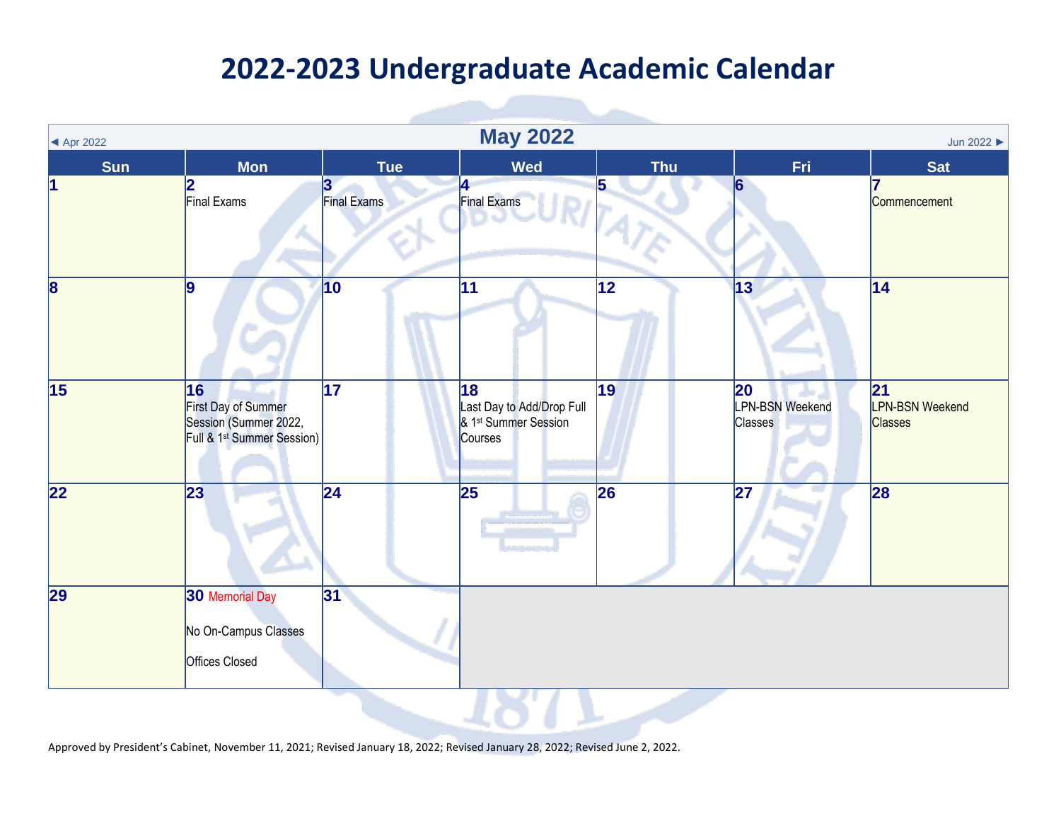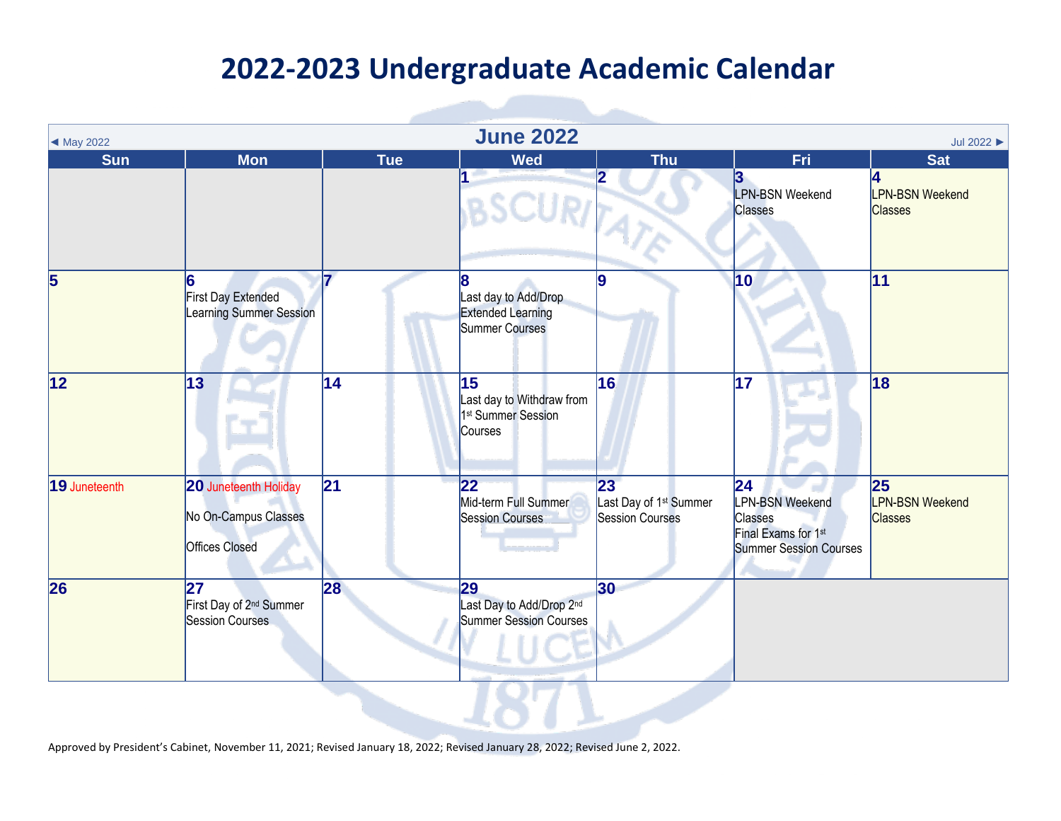| ◀ May 2022      |                                                                        |            | <b>June 2022</b>                                                                          |                                                                    |                                                                                           | Jul 2022 >                                     |
|-----------------|------------------------------------------------------------------------|------------|-------------------------------------------------------------------------------------------|--------------------------------------------------------------------|-------------------------------------------------------------------------------------------|------------------------------------------------|
| <b>Sun</b>      | <b>Mon</b>                                                             | <b>Tue</b> | <b>Wed</b>                                                                                | <b>Thu</b>                                                         | Fri                                                                                       | <b>Sat</b>                                     |
|                 |                                                                        |            | $\overline{1}$<br>SCURITATE                                                               | $\overline{\mathbf{2}}$                                            | 3<br><b>LPN-BSN Weekend</b><br><b>Classes</b>                                             | 4<br><b>LPN-BSN Weekend</b><br><b>Classes</b>  |
| $\overline{5}$  | 6<br><b>First Day Extended</b><br>Learning Summer Session              |            | 8<br>Last day to Add/Drop<br><b>Extended Learning</b><br><b>Summer Courses</b>            | 9                                                                  | 10                                                                                        | 11                                             |
| $\overline{12}$ | 13                                                                     | 14         | $\overline{15}$<br>Last day to Withdraw from<br>1 <sup>st</sup> Summer Session<br>Courses | 16                                                                 | $\overline{17}$                                                                           | $\overline{18}$                                |
| 19 Juneteenth   | 20 Juneteenth Holiday<br>No On-Campus Classes<br><b>Offices Closed</b> | 21         | $ 22\rangle$<br>Mid-term Full Summer<br><b>Session Courses</b>                            | 23<br>Last Day of 1 <sup>st</sup> Summer<br><b>Session Courses</b> | 24 <br><b>LPN-BSN Weekend</b><br>Classes<br>Final Exams for 1st<br>Summer Session Courses | 25<br><b>LPN-BSN Weekend</b><br><b>Classes</b> |
| 26              | 27<br>First Day of 2 <sup>nd</sup> Summer<br>Session Courses           | 28         | 29<br>Last Day to Add/Drop 2 <sup>nd</sup><br><b>Summer Session Courses</b>               | 30                                                                 |                                                                                           |                                                |
|                 |                                                                        |            |                                                                                           |                                                                    |                                                                                           |                                                |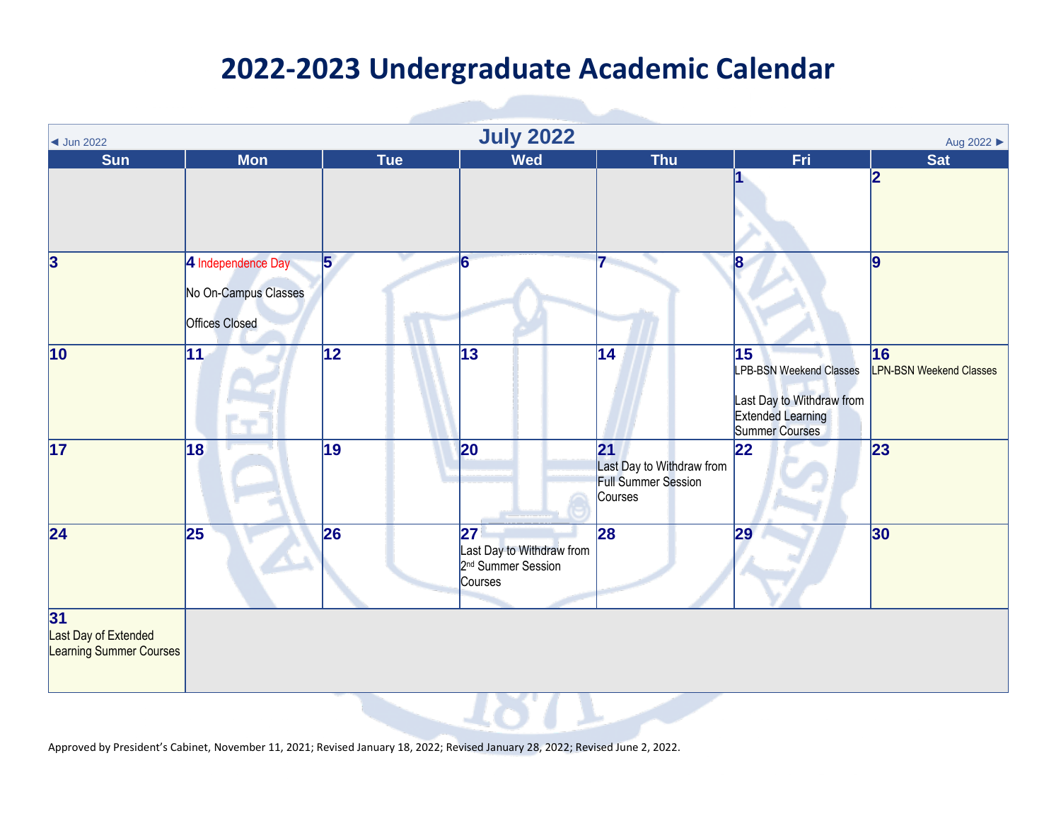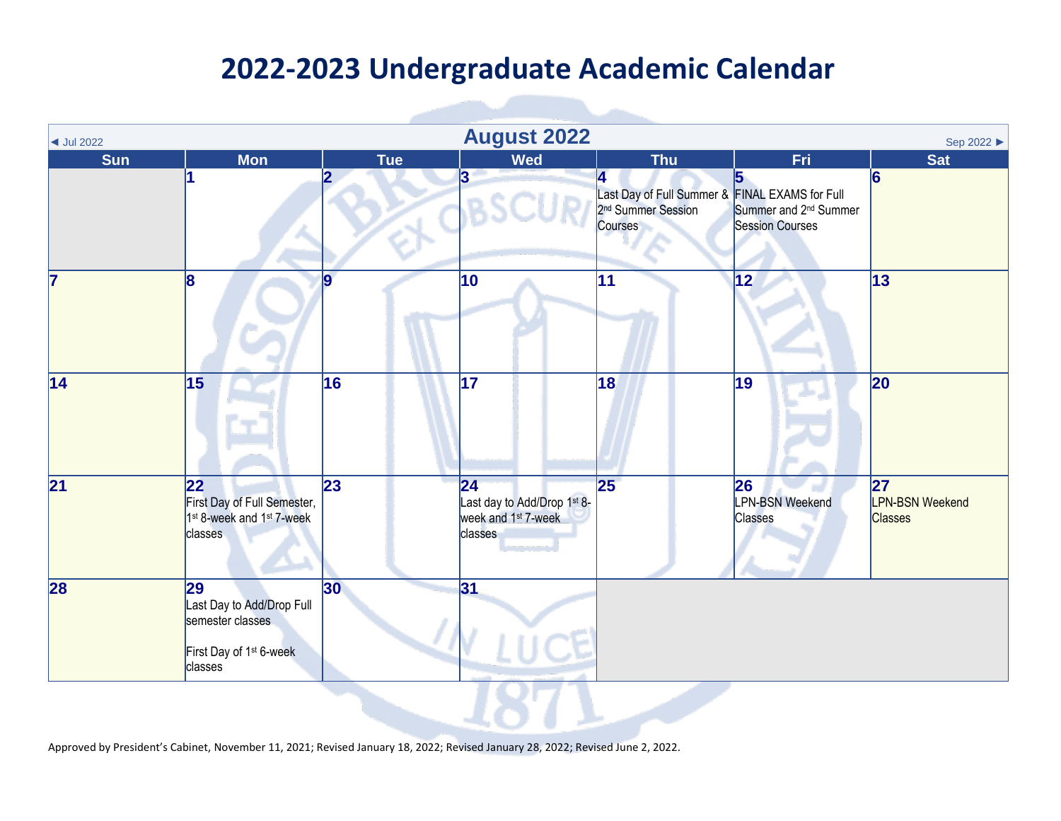| $\blacktriangleleft$ Jul 2022 |                                                                                                       |                 | <b>August 2022</b>                                                                        |                                                                                                                             |                                                             | Sep 2022 ▶                                      |
|-------------------------------|-------------------------------------------------------------------------------------------------------|-----------------|-------------------------------------------------------------------------------------------|-----------------------------------------------------------------------------------------------------------------------------|-------------------------------------------------------------|-------------------------------------------------|
| <b>Sun</b>                    | <b>Mon</b>                                                                                            | <b>Tue</b>      | <b>Wed</b>                                                                                | <b>Thu</b>                                                                                                                  | <b>Fri</b>                                                  | <b>Sat</b>                                      |
|                               |                                                                                                       |                 | $\overline{3}$                                                                            | Last Day of Full Summer & FINAL EXAMS for Full<br>2 <sup>nd</sup> Summer Session Summer and 2 <sup>nd</sup> Summ<br>Courses | Summer and 2 <sup>nd</sup> Summer<br><b>Session Courses</b> | $\overline{6}$                                  |
| 17                            | 8                                                                                                     | $\overline{9}$  | 10                                                                                        | 11                                                                                                                          | $\overline{12}$                                             | 13                                              |
| $\overline{14}$               | $\overline{15}$                                                                                       | $\overline{16}$ | $\overline{17}$                                                                           | 18                                                                                                                          | $\overline{19}$                                             | 20                                              |
| 21                            | 22<br>First Day of Full Semester,<br>1 <sup>st</sup> 8-week and 1 <sup>st</sup> 7-week<br>classes     | 23              | $ 24\rangle$<br>Last day to Add/Drop 1st 8-<br>week and 1 <sup>st</sup> 7-week<br>classes | 25                                                                                                                          | 26<br><b>LPN-BSN Weekend</b><br><b>Classes</b>              | 27 <br><b>LPN-BSN Weekend</b><br><b>Classes</b> |
| 28                            | 29<br>Last Day to Add/Drop Full<br>semester classes<br>First Day of 1 <sup>st</sup> 6-week<br>classes | 30              | 31                                                                                        |                                                                                                                             |                                                             |                                                 |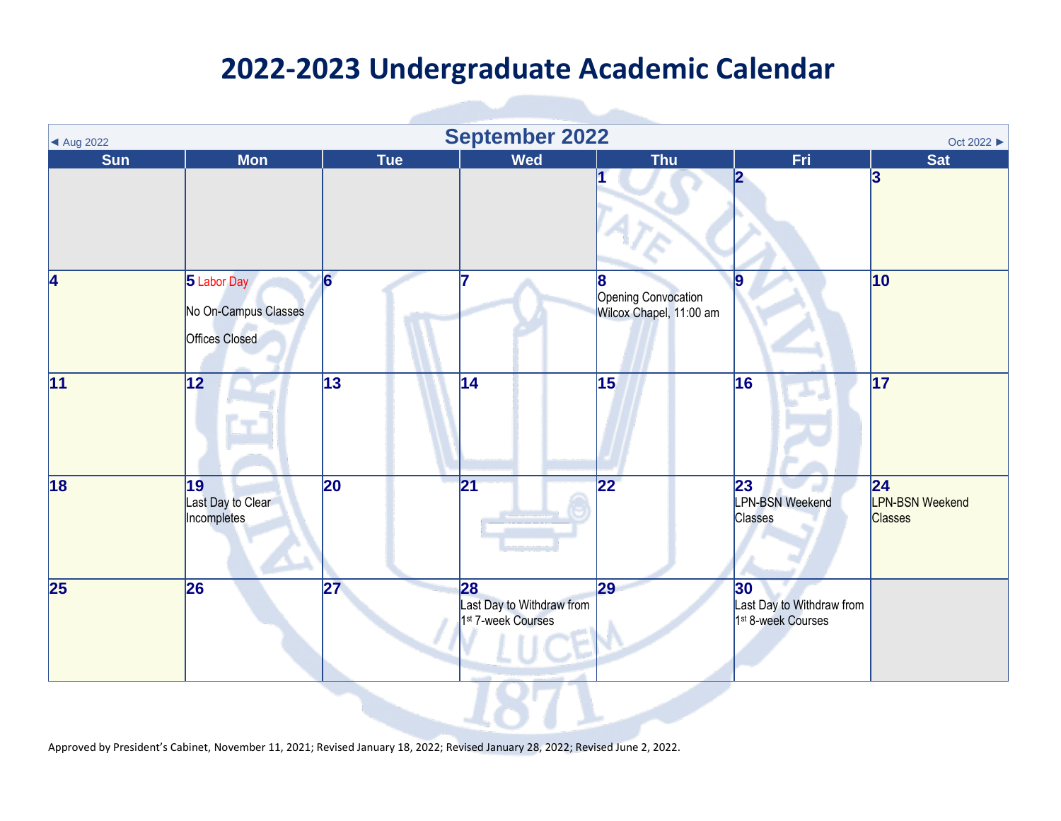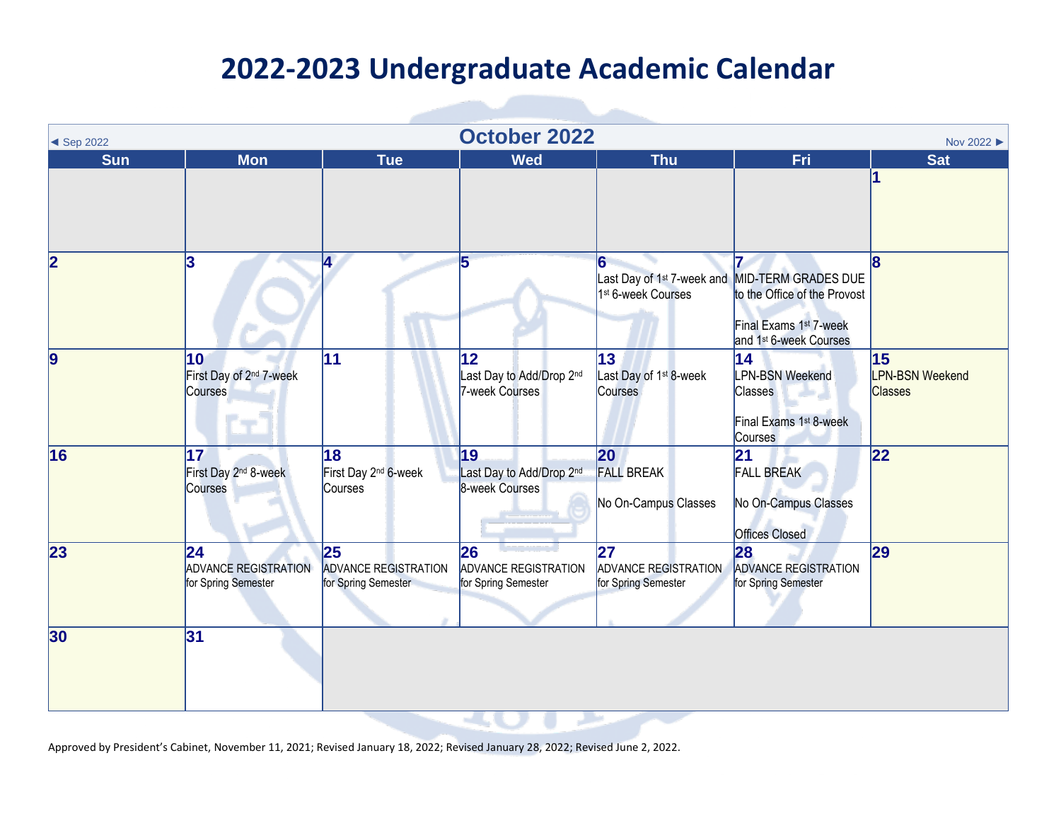$\sim$ 

| <b>October 2022</b><br>Nov 2022 ▶<br>$\triangleleft$ Sep 2022 |                                                           |                                                           |                                                            |                                                                |                                                                                                                                                                        |                                                |  |
|---------------------------------------------------------------|-----------------------------------------------------------|-----------------------------------------------------------|------------------------------------------------------------|----------------------------------------------------------------|------------------------------------------------------------------------------------------------------------------------------------------------------------------------|------------------------------------------------|--|
| <b>Sun</b>                                                    | <b>Mon</b>                                                | <b>Tue</b>                                                | <b>Wed</b>                                                 | <b>Thu</b>                                                     | Fri                                                                                                                                                                    | <b>Sat</b>                                     |  |
|                                                               |                                                           |                                                           |                                                            |                                                                |                                                                                                                                                                        |                                                |  |
| $\overline{\mathbf{2}}$                                       | 3                                                         | Ι4.                                                       | 5                                                          | 6<br>1 <sup>st</sup> 6-week Courses                            | Last Day of 1 <sup>st</sup> 7-week and MID-TERM GRADES DUE<br>to the Office of the Provost<br>Final Exams 1 <sup>st</sup> 7-week<br>and 1 <sup>st</sup> 6-week Courses | R                                              |  |
| $\overline{9}$                                                | 10<br>First Day of 2 <sup>nd</sup> 7-week<br>Courses      | 11                                                        | $ 12\rangle$<br>Last Day to Add/Drop 2nd<br>7-week Courses | 13<br>Last Day of 1 <sup>st</sup> 8-week<br><b>Courses</b>     | 14<br><b>LPN-BSN Weekend</b><br>Classes<br>Final Exams 1 <sup>st</sup> 8-week<br>Courses                                                                               | 15<br><b>LPN-BSN Weekend</b><br><b>Classes</b> |  |
| 16                                                            | 17<br>First Day 2 <sup>nd</sup> 8-week<br>Courses         | 18<br>First Day 2 <sup>nd</sup> 6-week<br>Courses         | 19<br>Last Day to Add/Drop 2nd<br>8-week Courses           | 20<br><b>FALL BREAK</b><br>No On-Campus Classes                | 21 <br><b>FALL BREAK</b><br>No On-Campus Classes<br><b>Offices Closed</b>                                                                                              | 22                                             |  |
| 23                                                            | 24 <br><b>ADVANCE REGISTRATION</b><br>for Spring Semester | 25 <br><b>ADVANCE REGISTRATION</b><br>for Spring Semester | 26<br><b>ADVANCE REGISTRATION</b><br>for Spring Semester   | $\overline{27}$<br>ADVANCE REGISTRATION<br>for Spring Semester | 28<br><b>ADVANCE REGISTRATION</b><br>for Spring Semester                                                                                                               | $\overline{29}$                                |  |
| 30                                                            | 31                                                        |                                                           |                                                            |                                                                |                                                                                                                                                                        |                                                |  |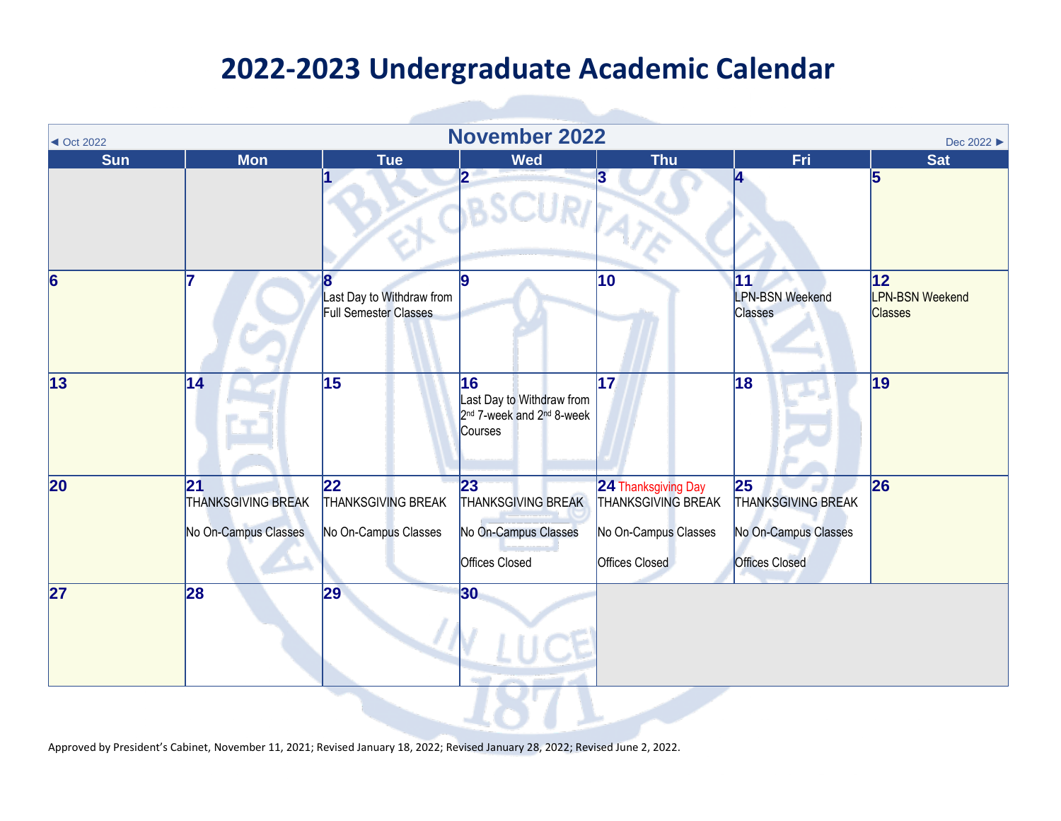| $\triangleleft$ Oct 2022 | <b>November 2022</b><br>Dec 2022 ▶                       |                                                                |                                                                                                 |                                                                                            |                                                                                  |                                                 |  |
|--------------------------|----------------------------------------------------------|----------------------------------------------------------------|-------------------------------------------------------------------------------------------------|--------------------------------------------------------------------------------------------|----------------------------------------------------------------------------------|-------------------------------------------------|--|
| <b>Sun</b>               | <b>Mon</b>                                               | <b>Tue</b>                                                     | <b>Wed</b>                                                                                      | <b>Thu</b>                                                                                 | Fri.                                                                             | <b>Sat</b>                                      |  |
|                          |                                                          |                                                                | 2                                                                                               | 3<br>ATE                                                                                   |                                                                                  | 5                                               |  |
| $\overline{6}$           |                                                          | 8<br>Last Day to Withdraw from<br><b>Full Semester Classes</b> | 9                                                                                               | 10                                                                                         | $\vert$ 11<br><b>LPN-BSN Weekend</b><br><b>Classes</b>                           | 12 <br><b>LPN-BSN Weekend</b><br><b>Classes</b> |  |
| $\overline{13}$          | 14                                                       | $\overline{15}$                                                | 16<br>Last Day to Withdraw from<br>2 <sup>nd</sup> 7-week and 2 <sup>nd</sup> 8-week<br>Courses | $\overline{17}$                                                                            | 18                                                                               | $\overline{19}$                                 |  |
| $\overline{20}$          | 21 <br><b>THANKSGIVING BREAK</b><br>No On-Campus Classes | 22<br><b>THANKSGIVING BREAK</b><br>No On-Campus Classes        | 23<br>THANKSGIVING BREAK<br>No On-Campus Classes<br>Offices Closed                              | 24 Thanksgiving Day<br><b>THANKSGIVING BREAK</b><br>No On-Campus Classes<br>Offices Closed | 25<br><b>THANKSGIVING BREAK</b><br>No On-Campus Classes<br><b>Offices Closed</b> | 26                                              |  |
| $\overline{27}$          | 28                                                       | 29                                                             | 30                                                                                              |                                                                                            |                                                                                  |                                                 |  |

**TELESCOPE**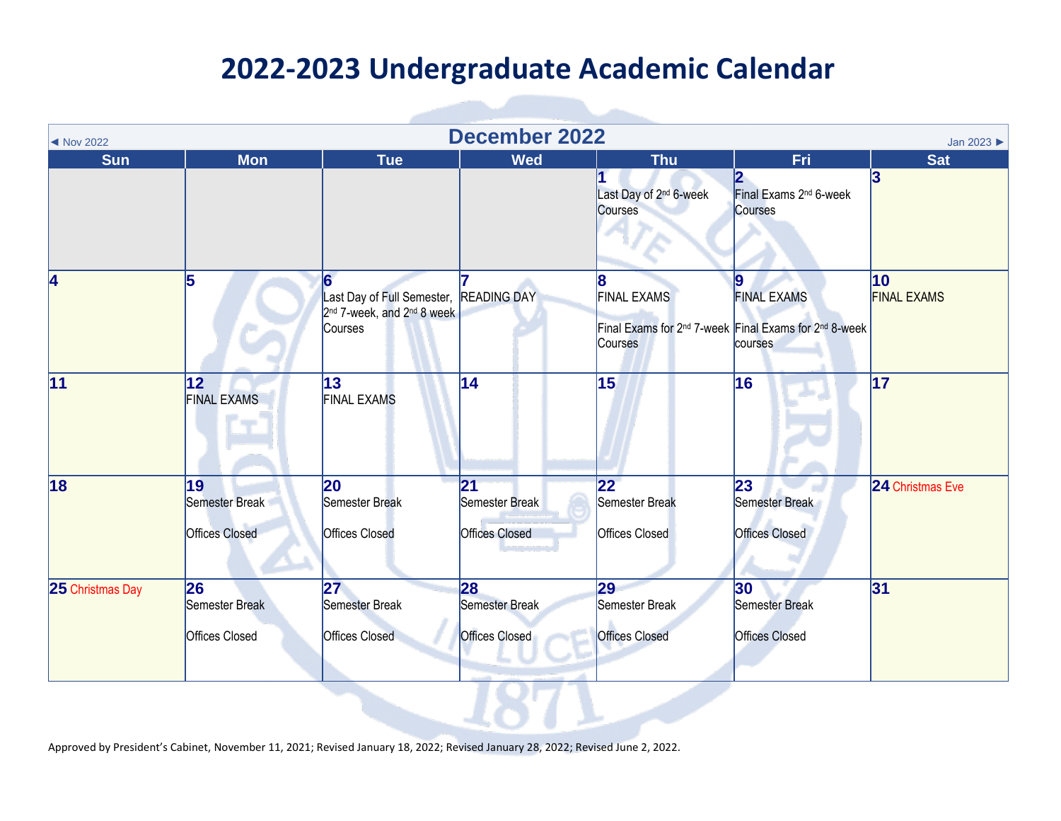| ◀ Nov 2022       | <b>December 2022</b><br>Jan 2023              |                                                                                                         |                                               |                                                         |                                                                                                                      |                                    |  |  |
|------------------|-----------------------------------------------|---------------------------------------------------------------------------------------------------------|-----------------------------------------------|---------------------------------------------------------|----------------------------------------------------------------------------------------------------------------------|------------------------------------|--|--|
| <b>Sun</b>       | <b>Mon</b>                                    | <b>Tue</b>                                                                                              | <b>Wed</b>                                    | <b>Thu</b>                                              | Fri                                                                                                                  | <b>Sat</b>                         |  |  |
|                  |                                               |                                                                                                         |                                               | Last Day of 2 <sup>nd</sup> 6-week<br>Courses           | $\overline{\mathbf{2}}$<br>Final Exams 2 <sup>nd</sup> 6-week<br>Courses                                             | 3                                  |  |  |
| 4                | 5                                             | Last Day of Full Semester, READING DAY<br>2 <sup>nd</sup> 7-week, and 2 <sup>nd</sup> 8 week<br>Courses |                                               | <b>FINAL EXAMS</b><br>Courses                           | 19<br><b>FINAL EXAMS</b><br>Final Exams for 2 <sup>nd</sup> 7-week Final Exams for 2 <sup>nd</sup> 8-week<br>courses | $ 10\rangle$<br><b>FINAL EXAMS</b> |  |  |
| 11               | $\overline{12}$<br><b>FINAL EXAMS</b>         | 13<br><b>FINAL EXAMS</b>                                                                                | 14                                            | $\overline{15}$                                         | $\overline{16}$                                                                                                      | $\overline{17}$                    |  |  |
| 18               | 19<br>Semester Break<br><b>Offices Closed</b> | 20<br>Semester Break<br><b>Offices Closed</b>                                                           | 21<br>Semester Break<br><b>Offices Closed</b> | $ 22\rangle$<br>Semester Break<br><b>Offices Closed</b> | 23<br>Semester Break<br><b>Offices Closed</b>                                                                        | 24 Christmas Eve                   |  |  |
| 25 Christmas Day | 26<br>Semester Break<br><b>Offices Closed</b> | 27<br>Semester Break<br><b>Offices Closed</b>                                                           | 28<br>Semester Break<br><b>Offices Closed</b> | 29<br>Semester Break<br><b>Offices Closed</b>           | 30<br><b>Semester Break</b><br><b>Offices Closed</b>                                                                 | 31                                 |  |  |
|                  |                                               |                                                                                                         |                                               |                                                         |                                                                                                                      |                                    |  |  |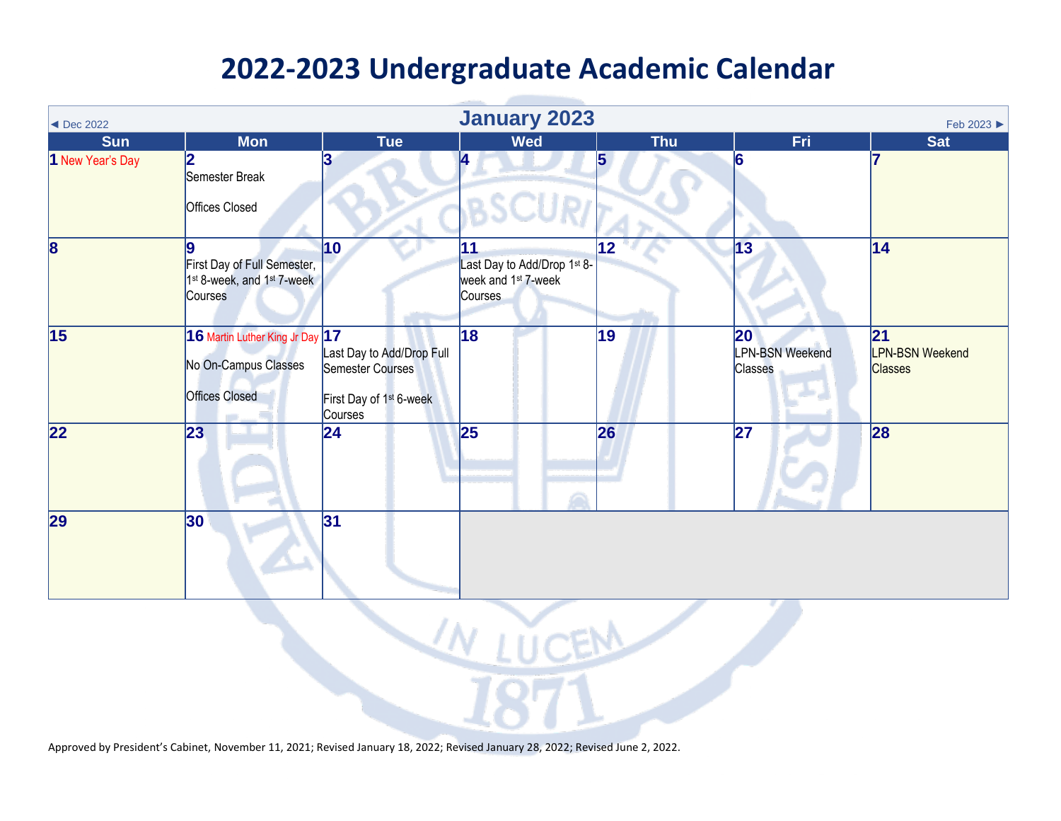| $\triangleleft$ Dec 2022 | <b>January 2023</b><br>Feb 2023 ▶                                                            |                                                                                                 |                                                                                 |                 |                                         |                                                             |  |  |
|--------------------------|----------------------------------------------------------------------------------------------|-------------------------------------------------------------------------------------------------|---------------------------------------------------------------------------------|-----------------|-----------------------------------------|-------------------------------------------------------------|--|--|
| <b>Sun</b>               | <b>Mon</b>                                                                                   | <b>Tue</b>                                                                                      | <b>Wed</b>                                                                      | <b>Thu</b>      | Fri                                     | <b>Sat</b>                                                  |  |  |
| 1 New Year's Day         | 2<br>Semester Break<br>Offices Closed                                                        | 13                                                                                              | 4                                                                               | 5               | 6                                       |                                                             |  |  |
| $\overline{\mathbf{8}}$  | First Day of Full Semester,<br>1 <sup>st</sup> 8-week, and 1 <sup>st</sup> 7-week<br>Courses | $\vert$ 10                                                                                      | 11<br>Last Day to Add/Drop 1st 8-<br>week and 1 <sup>st</sup> 7-week<br>Courses | 12              | $\overline{13}$                         | 14                                                          |  |  |
| $\overline{15}$          | 16 Martin Luther King Jr Day 17<br>No On-Campus Classes<br><b>Offices Closed</b>             | Last Day to Add/Drop Full<br>Semester Courses<br>First Day of 1 <sup>st</sup> 6-week<br>Courses | 18                                                                              | $\overline{19}$ | 20<br><b>LPN-BSN Weekend</b><br>Classes | $\overline{21}$<br><b>LPN-BSN Weekend</b><br><b>Classes</b> |  |  |
| $\overline{22}$          | 23                                                                                           | 24                                                                                              | 25                                                                              | 26              | 27                                      | 28                                                          |  |  |
| $\overline{29}$          | 30                                                                                           | 31                                                                                              |                                                                                 |                 |                                         |                                                             |  |  |
| $UV$ LUCEM               |                                                                                              |                                                                                                 |                                                                                 |                 |                                         |                                                             |  |  |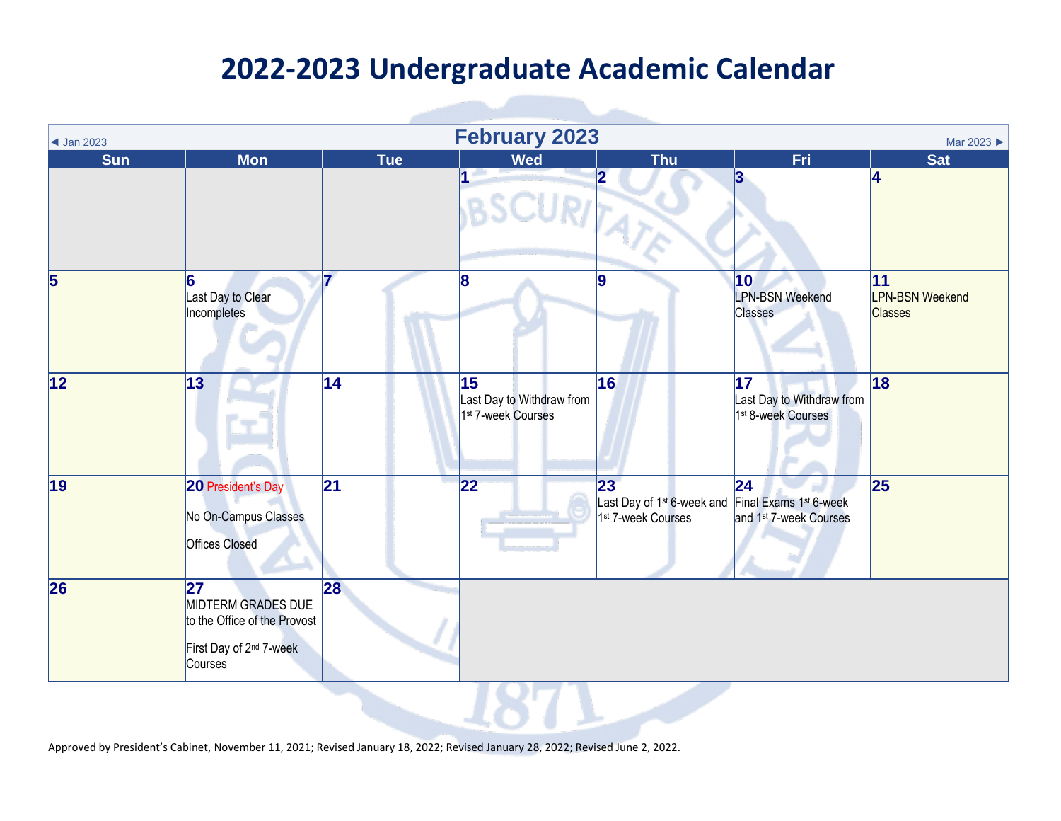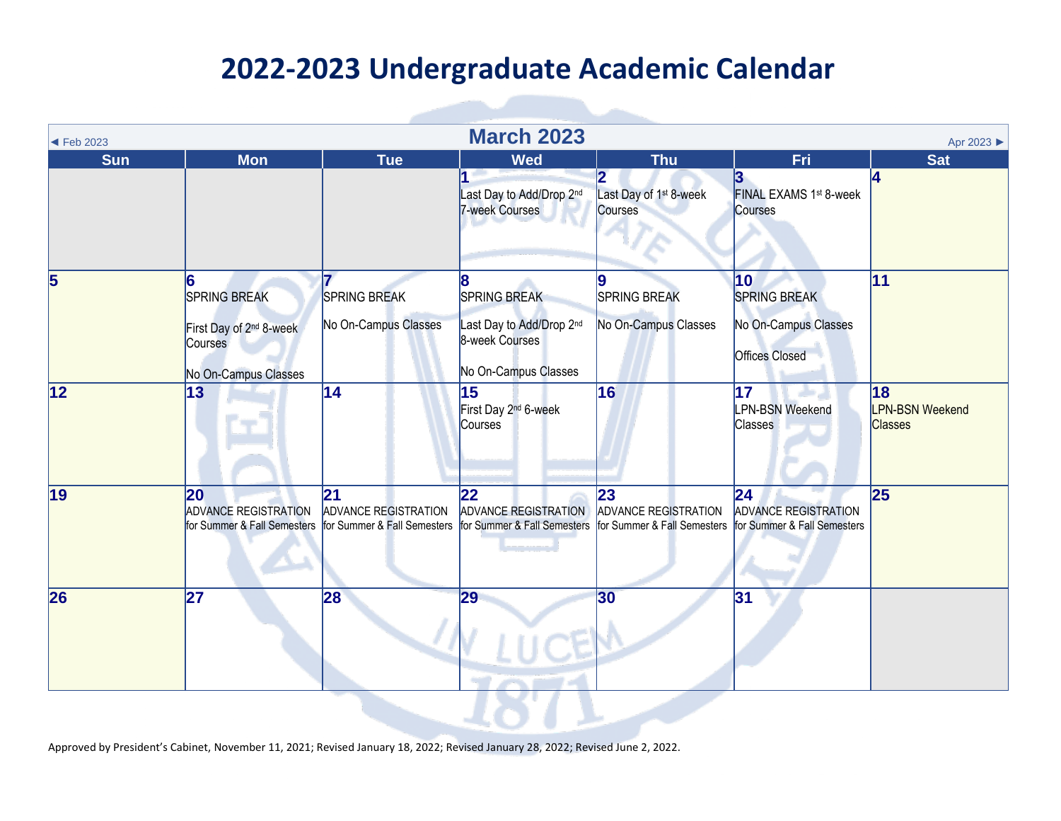| $\blacktriangleleft$ Feb 2023 | <b>March 2023</b><br>Apr 2023                                                                      |                                                                                       |                                                                                                |                                                                                       |                                                                            |                                                |  |  |
|-------------------------------|----------------------------------------------------------------------------------------------------|---------------------------------------------------------------------------------------|------------------------------------------------------------------------------------------------|---------------------------------------------------------------------------------------|----------------------------------------------------------------------------|------------------------------------------------|--|--|
| <b>Sun</b>                    | <b>Mon</b>                                                                                         | <b>Tue</b>                                                                            | <b>Wed</b>                                                                                     | <b>Thu</b>                                                                            | Fri                                                                        | <b>Sat</b>                                     |  |  |
|                               |                                                                                                    |                                                                                       | Last Day to Add/Drop 2nd<br><b>7-week Courses</b>                                              | Last Day of 1 <sup>st</sup> 8-week<br>Courses                                         | 3<br>FINAL EXAMS 1st 8-week<br>Courses                                     | 4                                              |  |  |
| 5                             | 6<br><b>SPRING BREAK</b><br>First Day of 2 <sup>nd</sup> 8-week<br>Courses<br>No On-Campus Classes | <b>SPRING BREAK</b><br>No On-Campus Classes                                           | 8<br><b>SPRING BREAK</b><br>Last Day to Add/Drop 2nd<br>8-week Courses<br>No On-Campus Classes | SPRING BREAK<br>No On-Campus Classes                                                  | 10<br><b>SPRING BREAK</b><br>No On-Campus Classes<br><b>Offices Closed</b> | 11                                             |  |  |
| $\overline{12}$               | 13                                                                                                 | $\overline{14}$                                                                       | 15<br>First Day 2 <sup>nd</sup> 6-week<br>Courses                                              | 16                                                                                    | 17<br><b>LPN-BSN Weekend</b><br>Classes                                    | 18<br><b>LPN-BSN Weekend</b><br><b>Classes</b> |  |  |
| $\vert$ 19                    | 20<br><b>ADVANCE REGISTRATION</b><br>for Summer & Fall Semesters                                   | 21<br>ADVANCE REGISTRATION<br>for Summer & Fall Semesters for Summer & Fall Semesters | $ 22\rangle$<br><b>ADVANCE REGISTRATION</b>                                                    | 23<br>ADVANCE REGISTRATION<br>for Summer & Fall Semesters for Summer & Fall Semesters | $\overline{24}$<br><b>ADVANCE REGISTRATION</b>                             | 25                                             |  |  |
| 26                            | 27                                                                                                 | 28                                                                                    | 29                                                                                             | 30 <sub>o</sub>                                                                       | 31                                                                         |                                                |  |  |
|                               |                                                                                                    |                                                                                       |                                                                                                |                                                                                       |                                                                            |                                                |  |  |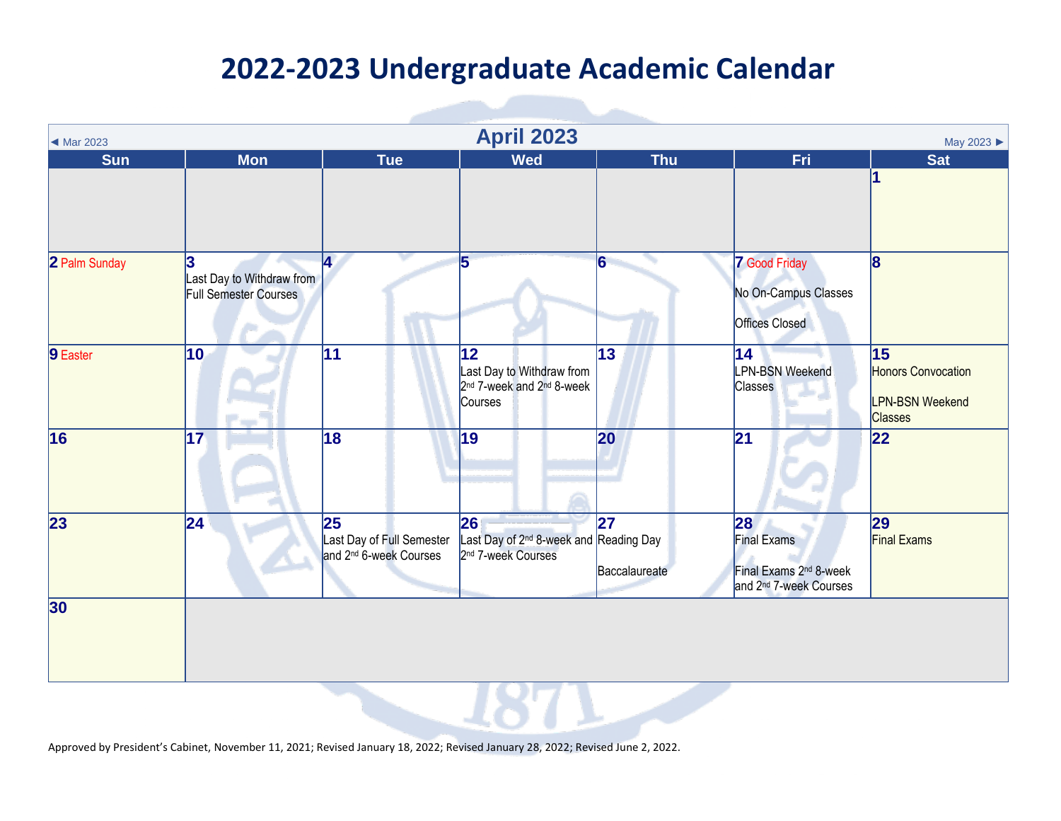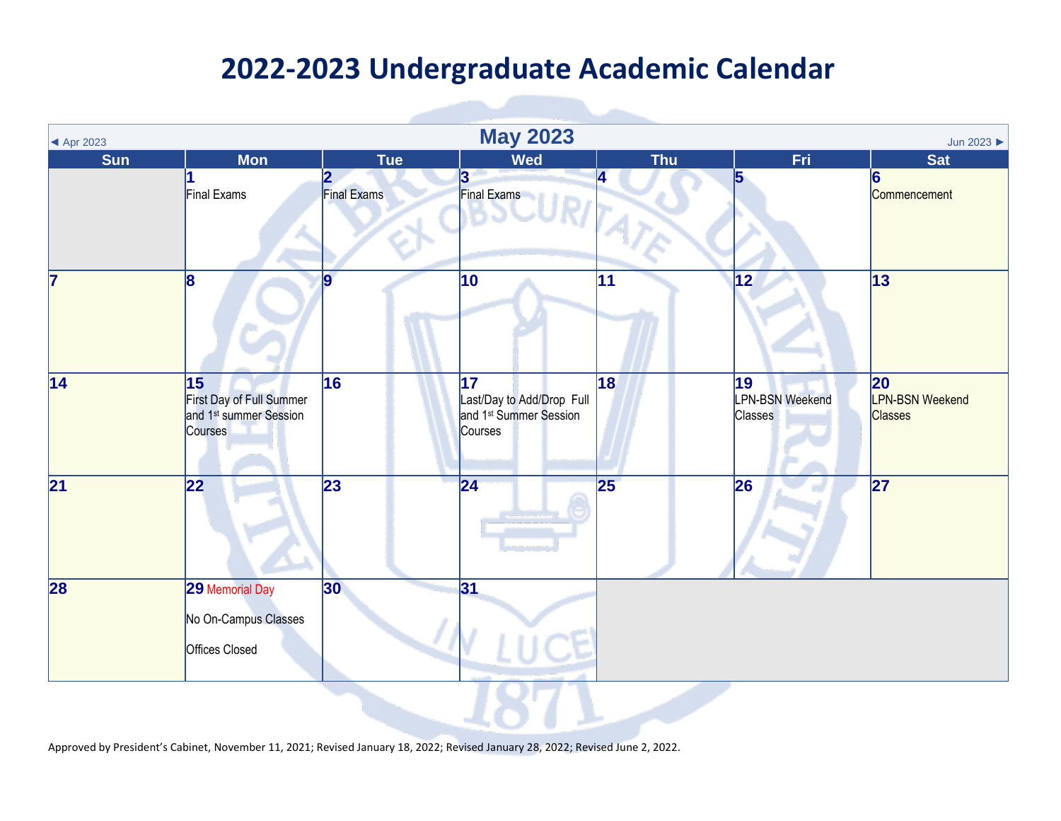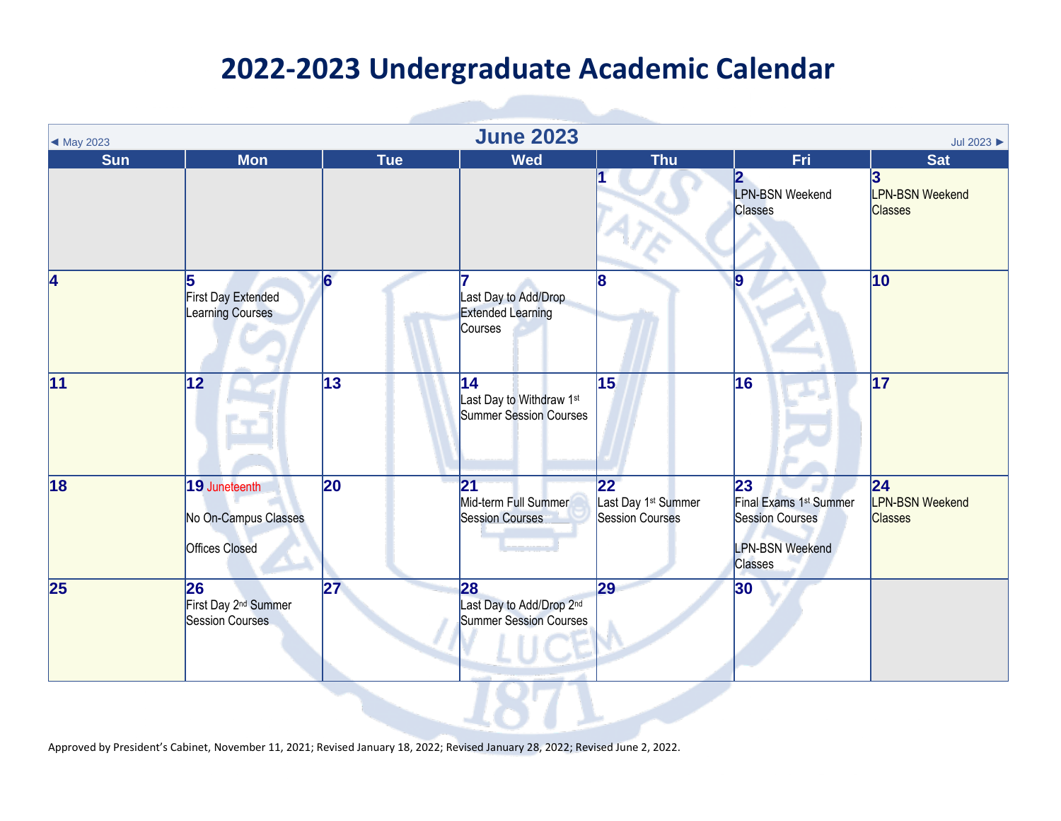| $\blacktriangleleft$ May 2023 |                                                                |                 | <b>June 2023</b>                                                     |                                                                              |                                                                                                                | Jul 2023                                        |
|-------------------------------|----------------------------------------------------------------|-----------------|----------------------------------------------------------------------|------------------------------------------------------------------------------|----------------------------------------------------------------------------------------------------------------|-------------------------------------------------|
| <b>Sun</b>                    | <b>Mon</b>                                                     | <b>Tue</b>      | <b>Wed</b>                                                           | <b>Thu</b>                                                                   | Fri                                                                                                            | <b>Sat</b>                                      |
|                               |                                                                |                 |                                                                      |                                                                              | $\overline{\mathbf{2}}$<br>LPN-BSN Weekend<br>Classes                                                          | 3<br><b>LPN-BSN Weekend</b><br><b>Classes</b>   |
| 4                             | 5<br>First Day Extended<br>Learning Courses                    | 6               | Last Day to Add/Drop<br><b>Extended Learning</b><br>Courses          | 8                                                                            |                                                                                                                | $ 10\rangle$                                    |
| $\overline{11}$               | $\overline{12}$                                                | $\overline{13}$ | 14<br>Last Day to Withdraw 1st<br><b>Summer Session Courses</b>      | $\overline{15}$                                                              | 16                                                                                                             | $\overline{17}$                                 |
| $\overline{18}$               | 19 Juneteenth<br>No On-Campus Classes<br><b>Offices Closed</b> | 20              | 21<br>Mid-term Full Summer<br><b>Session Courses</b>                 | $\overline{22}$<br>Last Day 1 <sup>st</sup> Summer<br><b>Session Courses</b> | 23<br>Final Exams 1 <sup>st</sup> Summer<br><b>Session Courses</b><br><b>LPN-BSN Weekend</b><br><b>Classes</b> | 24 <br><b>LPN-BSN Weekend</b><br><b>Classes</b> |
| $\overline{25}$               | 26<br>First Day 2 <sup>nd</sup> Summer<br>Session Courses      | $\overline{27}$ | 28<br>Last Day to Add/Drop 2 <sup>nd</sup><br>Summer Session Courses | 29                                                                           | 30                                                                                                             |                                                 |
|                               |                                                                |                 |                                                                      |                                                                              |                                                                                                                |                                                 |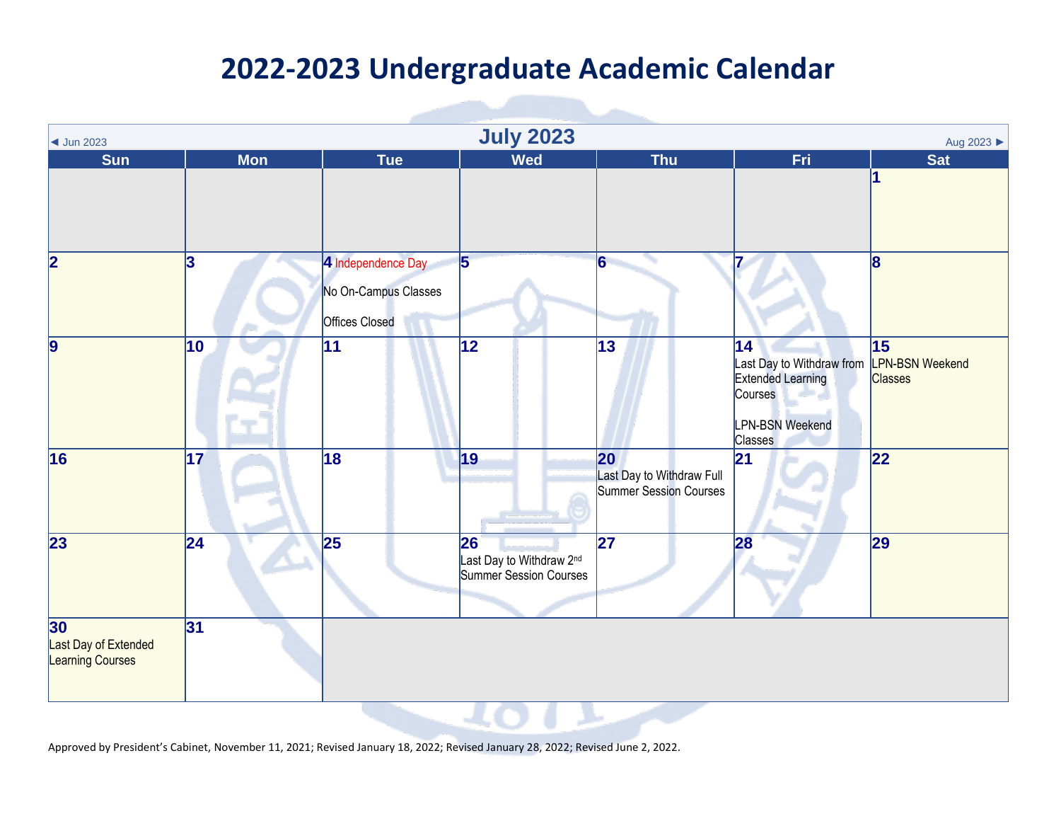